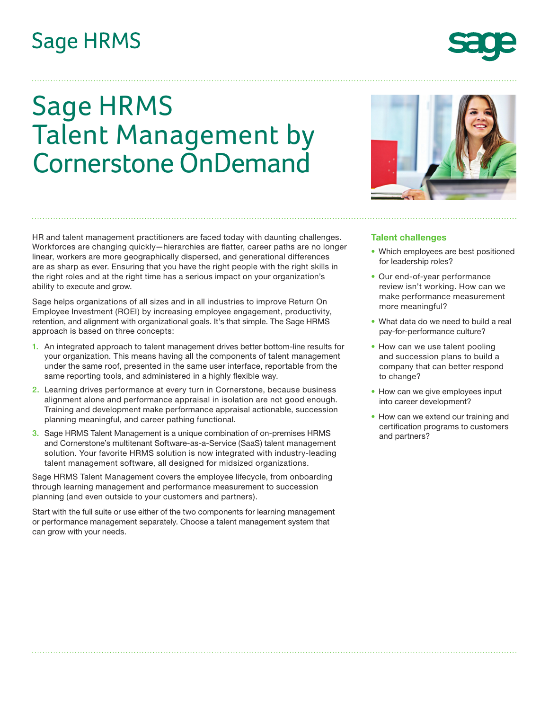# **Sage HRMS**

# Sage HRMS Talent Management by Cornerstone OnDemand

HR and talent management practitioners are faced today with daunting challenges. Workforces are changing quickly—hierarchies are flatter, career paths are no longer linear, workers are more geographically dispersed, and generational differences are as sharp as ever. Ensuring that you have the right people with the right skills in the right roles and at the right time has a serious impact on your organization's ability to execute and grow.

Sage helps organizations of all sizes and in all industries to improve Return On Employee Investment (ROEI) by increasing employee engagement, productivity, retention, and alignment with organizational goals. It's that simple. The Sage HRMS approach is based on three concepts:

- 1. An integrated approach to talent management drives better bottom-line results for your organization. This means having all the components of talent management under the same roof, presented in the same user interface, reportable from the same reporting tools, and administered in a highly flexible way.
- 2. Learning drives performance at every turn in Cornerstone, because business alignment alone and performance appraisal in isolation are not good enough. Training and development make performance appraisal actionable, succession planning meaningful, and career pathing functional.
- 3. Sage HRMS Talent Management is a unique combination of on-premises HRMS and Cornerstone's multitenant Software-as-a-Service (SaaS) talent management solution. Your favorite HRMS solution is now integrated with industry-leading talent management software, all designed for midsized organizations.

Sage HRMS Talent Management covers the employee lifecycle, from onboarding through learning management and performance measurement to succession planning (and even outside to your customers and partners).

Start with the full suite or use either of the two components for learning management or performance management separately. Choose a talent management system that can grow with your needs.

## **Talent challenges**

- Which employees are best positioned for leadership roles?
- Our end-of-year performance review isn't working. How can we make performance measurement more meaningful?
- What data do we need to build a real pay-for-performance culture?
- How can we use talent pooling and succession plans to build a company that can better respond to change?
- How can we give employees input into career development?
- How can we extend our training and certification programs to customers and partners?